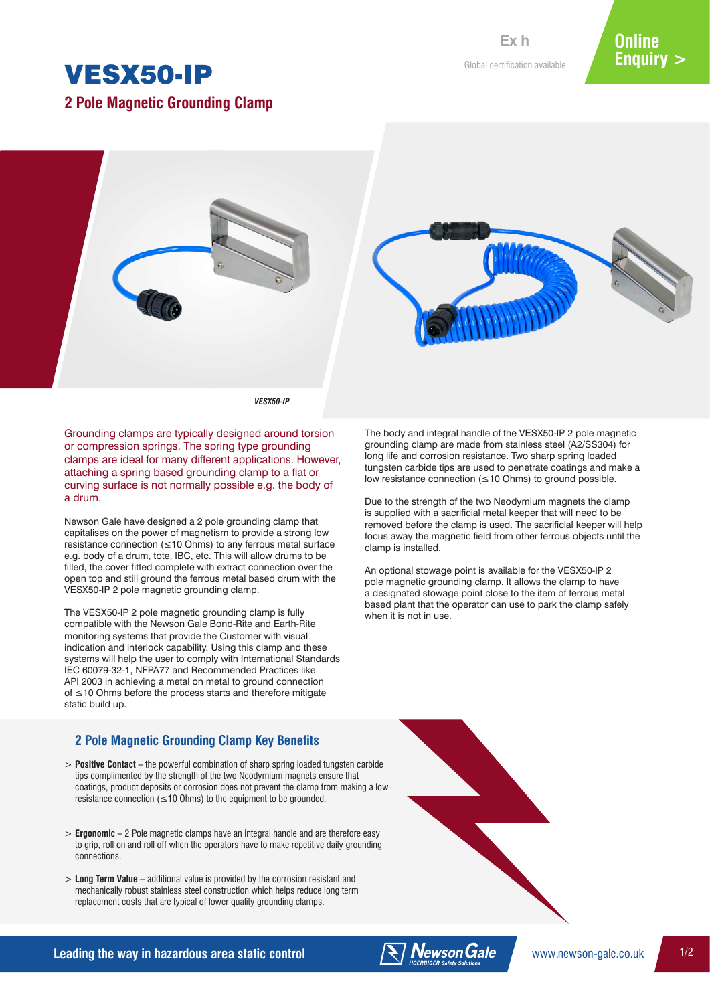# VESX50-IP

**2 Pole Magnetic Grounding Clamp**

Global certification available **Ex h**



*VESX50-IP*

Grounding clamps are typically designed around torsion or compression springs. The spring type grounding clamps are ideal for many different applications. However, attaching a spring based grounding clamp to a flat or curving surface is not normally possible e.g. the body of a drum.

Newson Gale have designed a 2 pole grounding clamp that capitalises on the power of magnetism to provide a strong low resistance connection (≤10 Ohms) to any ferrous metal surface e.g. body of a drum, tote, IBC, etc. This will allow drums to be filled, the cover fitted complete with extract connection over the open top and still ground the ferrous metal based drum with the VESX50-IP 2 pole magnetic grounding clamp.

The VESX50-IP 2 pole magnetic grounding clamp is fully compatible with the Newson Gale Bond-Rite and Earth-Rite monitoring systems that provide the Customer with visual indication and interlock capability. Using this clamp and these systems will help the user to comply with International Standards IEC 60079-32-1, NFPA77 and Recommended Practices like API 2003 in achieving a metal on metal to ground connection of ≤10 Ohms before the process starts and therefore mitigate static build up.

### **2 Pole Magnetic Grounding Clamp Key Benefits**

- > **Positive Contact**  the powerful combination of sharp spring loaded tungsten carbide tips complimented by the strength of the two Neodymium magnets ensure that coatings, product deposits or corrosion does not prevent the clamp from making a low resistance connection ( $\leq$  10 Ohms) to the equipment to be grounded.
- > **Ergonomic**  2 Pole magnetic clamps have an integral handle and are therefore easy to grip, roll on and roll off when the operators have to make repetitive daily grounding connections.
- > **Long Term Value**  additional value is provided by the corrosion resistant and mechanically robust stainless steel construction which helps reduce long term replacement costs that are typical of lower quality grounding clamps.

The body and integral handle of the VESX50-IP 2 pole magnetic grounding clamp are made from stainless steel (A2/SS304) for long life and corrosion resistance. Two sharp spring loaded tungsten carbide tips are used to penetrate coatings and make a low resistance connection (≤10 Ohms) to ground possible.

Due to the strength of the two Neodymium magnets the clamp is supplied with a sacrificial metal keeper that will need to be removed before the clamp is used. The sacrificial keeper will help focus away the magnetic field from other ferrous objects until the clamp is installed.

An optional stowage point is available for the VESX50-IP 2 pole magnetic grounding clamp. It allows the clamp to have a designated stowage point close to the item of ferrous metal based plant that the operator can use to park the clamp safely when it is not in use.